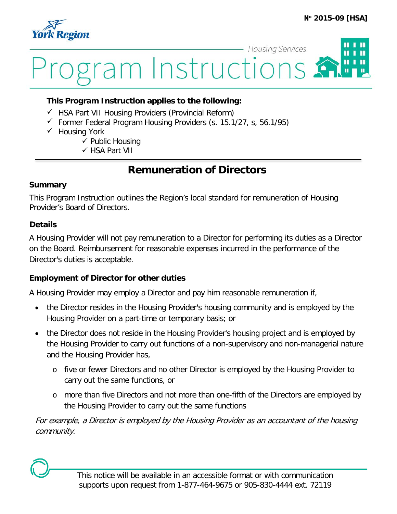

# **Housing Services** П ram Instructions

#### **This Program Instruction applies to the following:**

- $\checkmark$  HSA Part VII Housing Providers (Provincial Reform)
- $\checkmark$  Former Federal Program Housing Providers (s. 15.1/27, s, 56.1/95)
- $\checkmark$  Housing York
	- $\checkmark$  Public Housing
	- HSA Part VII

# **Remuneration of Directors**

#### **Summary**

This Program Instruction outlines the Region's local standard for remuneration of Housing Provider's Board of Directors.

#### **Details**

A Housing Provider will not pay remuneration to a Director for performing its duties as a Director on the Board. Reimbursement for reasonable expenses incurred in the performance of the Director's duties is acceptable.

### **Employment of Director for other duties**

A Housing Provider may employ a Director and pay him reasonable remuneration if,

- the Director resides in the Housing Provider's housing community and is employed by the Housing Provider on a part-time or temporary basis; or
- the Director does not reside in the Housing Provider's housing project and is employed by the Housing Provider to carry out functions of a non-supervisory and non-managerial nature and the Housing Provider has,
	- o five or fewer Directors and no other Director is employed by the Housing Provider to carry out the same functions, or
	- o more than five Directors and not more than one-fifth of the Directors are employed by the Housing Provider to carry out the same functions

For example, a Director is employed by the Housing Provider as an accountant of the housing community.